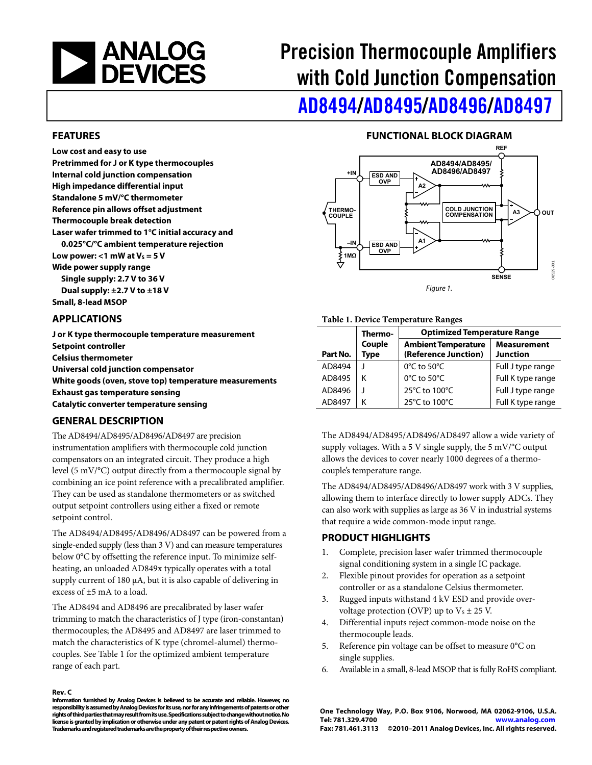<span id="page-0-1"></span>

# Precision Thermocouple Amplifiers with Cold Junction Compensation

[AD8494/](http://www.analog.com/ad8494)[AD8495](http://www.analog.com/ad8495)/[AD8496/](http://www.analog.com/ad8496)[AD8497](http://www.analog.com/ad8497)

#### **FEATURES**

**Low cost and easy to use Pretrimmed for J or K type thermocouples Internal cold junction compensation High impedance differential input Standalone 5 mV/°C thermometer Reference pin allows offset adjustment Thermocouple break detection Laser wafer trimmed to 1°C initial accuracy and 0.025°C/°C ambient temperature rejection**  Low power:  $<$ 1 mW at V<sub>s</sub> = 5 V **Wide power supply range Single supply: 2.7 V to 36 V Dual supply: ±2.7 V to ±18 V Small, 8-lead MSOP** 

#### <span id="page-0-0"></span>**APPLICATIONS**

**J or K type thermocouple temperature measurement Setpoint controller Celsius thermometer Universal cold junction compensator White goods (oven, stove top) temperature measurements Exhaust gas temperature sensing Catalytic converter temperature sensing** 

#### **GENERAL DESCRIPTION**

The AD8494/AD8495/AD8496/AD8497 are precision instrumentation amplifiers with thermocouple cold junction compensators on an integrated circuit. They produce a high level (5 mV/°C) output directly from a thermocouple signal by combining an ice point reference with a precalibrated amplifier. They can be used as standalone thermometers or as switched output setpoint controllers using either a fixed or remote setpoint control.

The AD8494/AD8495/AD8496/AD8497 can be powered from a single-ended supply (less than 3 V) and can measure temperatures below 0°C by offsetting the reference input. To minimize selfheating, an unloaded AD849x typically operates with a total supply current of 180 μA, but it is also capable of delivering in excess of ±5 mA to a load.

The AD8494 and AD8496 are precalibrated by laser wafer trimming to match the characteristics of J type (iron-constantan) thermocouples; the AD8495 and AD8497 are laser trimmed to match the characteristics of K type (chromel-alumel) thermocouples. See [Table 1](#page-0-0) for the optimized ambient temperature range of each part.

#### **Rev. C**

**Information furnished by Analog Devices is believed to be accurate and reliable. However, no responsibility is assumed by Analog Devices for its use, nor for any infringements of patents or other rights of third parties that may result from its use. Specifications subject to change without notice. No license is granted by implication or otherwise under any patent or patent rights of Analog Devices. Trademarks and registered trademarks are the property of their respective owners.** 

#### **FUNCTIONAL BLOCK DIAGRAM**



Figure 1.

#### **Table 1. Device Temperature Ranges**

|          | Thermo-        | <b>Optimized Temperature Range</b>                 |                                       |  |  |  |
|----------|----------------|----------------------------------------------------|---------------------------------------|--|--|--|
| Part No. | Couple<br>Type | <b>Ambient Temperature</b><br>(Reference Junction) | <b>Measurement</b><br><b>Junction</b> |  |  |  |
| AD8494   |                | $0^{\circ}$ C to 50 $^{\circ}$ C                   | Full J type range                     |  |  |  |
| AD8495   | ĸ              | 0°C to 50°C                                        | Full K type range                     |  |  |  |
| AD8496   |                | 25°C to 100°C                                      | Full J type range                     |  |  |  |
| AD8497   |                | 25°C to 100°C                                      | Full K type range                     |  |  |  |

The AD8494/AD8495/AD8496/AD8497 allow a wide variety of supply voltages. With a 5 V single supply, the 5 mV/°C output allows the devices to cover nearly 1000 degrees of a thermocouple's temperature range.

The AD8494/AD8495/AD8496/AD8497 work with 3 V supplies, allowing them to interface directly to lower supply ADCs. They can also work with supplies as large as 36 V in industrial systems that require a wide common-mode input range.

#### **PRODUCT HIGHLIGHTS**

- 1. Complete, precision laser wafer trimmed thermocouple signal conditioning system in a single IC package.
- 2. Flexible pinout provides for operation as a setpoint controller or as a standalone Celsius thermometer.
- 3. Rugged inputs withstand 4 kV ESD and provide overvoltage protection (OVP) up to  $V_s \pm 25$  V.
- 4. Differential inputs reject common-mode noise on the thermocouple leads.
- 5. Reference pin voltage can be offset to measure 0°C on single supplies.
- 6. Available in a small, 8-lead MSOP that is fully RoHS compliant.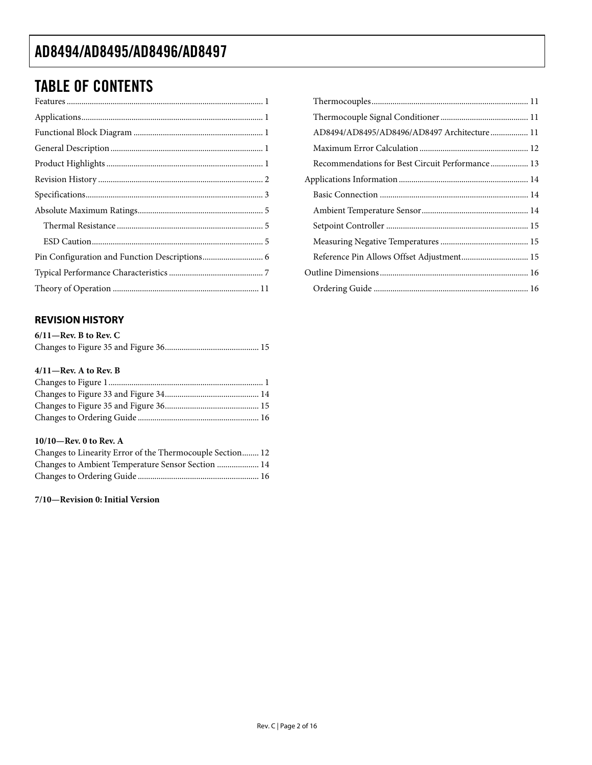## <span id="page-1-0"></span>TABLE OF CONTENTS

#### **REVISION HISTORY**

| $6/11$ —Rev. B to Rev. C |  |
|--------------------------|--|
|                          |  |

#### **4/11—Rev. A to Rev. B**

#### **10/10—Rev. 0 to Rev. A**

| Changes to Linearity Error of the Thermocouple Section 12 |  |
|-----------------------------------------------------------|--|
| Changes to Ambient Temperature Sensor Section  14         |  |
|                                                           |  |

#### **7/10—Revision 0: Initial Version**

| AD8494/AD8495/AD8496/AD8497 Architecture 11     |  |
|-------------------------------------------------|--|
|                                                 |  |
| Recommendations for Best Circuit Performance 13 |  |
|                                                 |  |
|                                                 |  |
|                                                 |  |
|                                                 |  |
|                                                 |  |
| Reference Pin Allows Offset Adjustment 15       |  |
|                                                 |  |
|                                                 |  |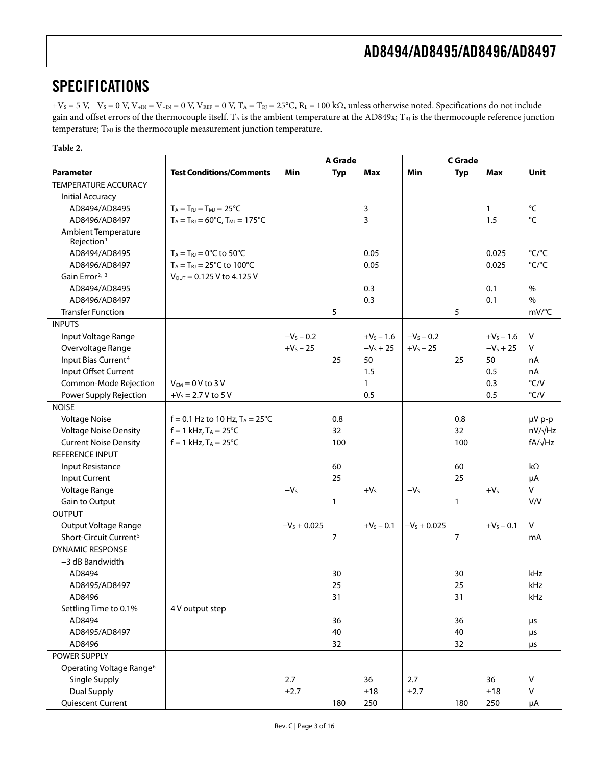### <span id="page-2-0"></span>SPECIFICATIONS

 $+V_S = 5$  V,  $-V_S = 0$  V,  $V_{+IN} = V_{-IN} = 0$  V,  $V_{REF} = 0$  V,  $T_A = T_{RI} = 25$ °C,  $R_L = 100$  k $\Omega$ , unless otherwise noted. Specifications do not include gain and offset errors of the thermocouple itself.  $T_A$  is the ambient temperature at the AD849x;  $T_{RI}$  is the thermocouple reference junction temperature;  $\mathrm{T}_{\mathrm{MI}}$  is the thermocouple measurement junction temperature.

#### **Table 2.**

<span id="page-2-1"></span>

|                                      |                                                         | A Grade        |              | C Grade      |                |              |              |                |
|--------------------------------------|---------------------------------------------------------|----------------|--------------|--------------|----------------|--------------|--------------|----------------|
| <b>Parameter</b>                     | <b>Test Conditions/Comments</b>                         | Min            | <b>Typ</b>   | <b>Max</b>   | Min            | <b>Typ</b>   | <b>Max</b>   | Unit           |
| TEMPERATURE ACCURACY                 |                                                         |                |              |              |                |              |              |                |
| <b>Initial Accuracy</b>              |                                                         |                |              |              |                |              |              |                |
| AD8494/AD8495                        | $T_A = T_{RI} = T_{MI} = 25^{\circ}C$                   |                |              | 3            |                |              | $\mathbf{1}$ | °C             |
| AD8496/AD8497                        | $T_A = T_{RJ} = 60^{\circ}$ C, $T_{MJ} = 175^{\circ}$ C |                |              | 3            |                |              | 1.5          | °C             |
| Ambient Temperature                  |                                                         |                |              |              |                |              |              |                |
| Rejection <sup>1</sup>               |                                                         |                |              |              |                |              |              |                |
| AD8494/AD8495                        | $T_A = T_{RJ} = 0$ °C to 50°C                           |                |              | 0.05         |                |              | 0.025        | °C/°C          |
| AD8496/AD8497                        | $T_A = T_{RJ} = 25^{\circ}C$ to 100°C                   |                |              | 0.05         |                |              | 0.025        | °C/°C          |
| Gain Error <sup>2, 3</sup>           | $V_{\text{OUT}} = 0.125 \text{ V}$ to 4.125 V           |                |              |              |                |              |              |                |
| AD8494/AD8495                        |                                                         |                |              | 0.3          |                |              | 0.1          | $\%$           |
| AD8496/AD8497                        |                                                         |                |              | 0.3          |                |              | 0.1          | $\%$           |
| <b>Transfer Function</b>             |                                                         |                | 5            |              |                | 5            |              | mV/°C          |
| <b>INPUTS</b>                        |                                                         |                |              |              |                |              |              |                |
| Input Voltage Range                  |                                                         | $-V_s - 0.2$   |              | $+V_5 - 1.6$ | $-V_S - 0.2$   |              | $+V_s - 1.6$ | $\mathsf{V}$   |
| Overvoltage Range                    |                                                         | $+V_s - 25$    |              | $-VS + 25$   | $+V_s - 25$    |              | $-VS + 25$   | v              |
| Input Bias Current <sup>4</sup>      |                                                         |                | 25           | 50           |                | 25           | 50           | nA             |
| Input Offset Current                 |                                                         |                |              | 1.5          |                |              | 0.5          | nA             |
| Common-Mode Rejection                | $V_{CM}$ = 0 V to 3 V                                   |                |              | $\mathbf{1}$ |                |              | 0.3          | °C/V           |
| Power Supply Rejection               | $+V_s = 2.7 V$ to 5 V                                   |                |              | 0.5          |                |              | 0.5          | $\degree$ C/V  |
| <b>NOISE</b>                         |                                                         |                |              |              |                |              |              |                |
| <b>Voltage Noise</b>                 | $f = 0.1$ Hz to 10 Hz, T <sub>A</sub> = 25°C            |                | 0.8          |              |                | 0.8          |              | µV p-p         |
| <b>Voltage Noise Density</b>         | $f = 1$ kHz, $T_A = 25^{\circ}C$                        |                | 32           |              |                | 32           |              | $nV/\sqrt{Hz}$ |
| <b>Current Noise Density</b>         | $f = 1$ kHz, $T_A = 25^{\circ}C$                        |                | 100          |              |                | 100          |              | $fA/\sqrt{Hz}$ |
| REFERENCE INPUT                      |                                                         |                |              |              |                |              |              |                |
| Input Resistance                     |                                                         |                | 60           |              |                | 60           |              | kΩ             |
| <b>Input Current</b>                 |                                                         |                | 25           |              |                | 25           |              | μA             |
| Voltage Range                        |                                                         | $-VS$          |              | $+VS$        | $-VS$          |              | $+VS$        | V              |
| Gain to Output                       |                                                         |                | $\mathbf{1}$ |              |                | $\mathbf{1}$ |              | V/V            |
| <b>OUTPUT</b>                        |                                                         |                |              |              |                |              |              |                |
| Output Voltage Range                 |                                                         | $-V_s + 0.025$ |              | $+V_S - 0.1$ | $-V_s + 0.025$ |              | $+V_s - 0.1$ | ٧              |
| Short-Circuit Current <sup>5</sup>   |                                                         |                | 7            |              |                | 7            |              | mA             |
| <b>DYNAMIC RESPONSE</b>              |                                                         |                |              |              |                |              |              |                |
| -3 dB Bandwidth                      |                                                         |                |              |              |                |              |              |                |
| AD8494                               |                                                         |                | 30           |              |                | 30           |              | kHz            |
| AD8495/AD8497                        |                                                         |                | 25           |              |                | 25           |              | kHz            |
| AD8496                               |                                                         |                | 31           |              |                | 31           |              | kHz            |
| Settling Time to 0.1%                | 4 V output step                                         |                |              |              |                |              |              |                |
| AD8494                               |                                                         |                | 36           |              |                | 36           |              | $\mu$ s        |
| AD8495/AD8497                        |                                                         |                | 40           |              |                | 40           |              | μs             |
| AD8496                               |                                                         |                | 32           |              |                | 32           |              | μs             |
| POWER SUPPLY                         |                                                         |                |              |              |                |              |              |                |
| Operating Voltage Range <sup>6</sup> |                                                         |                |              |              |                |              |              |                |
| Single Supply                        |                                                         | 2.7            |              | 36           | 2.7            |              | 36           | $\sf V$        |
| Dual Supply                          |                                                         | $\pm 2.7$      |              | ±18          | ±2.7           |              | ±18          | ٧              |
| Quiescent Current                    |                                                         |                | 180          | 250          |                | 180          | 250          | μA             |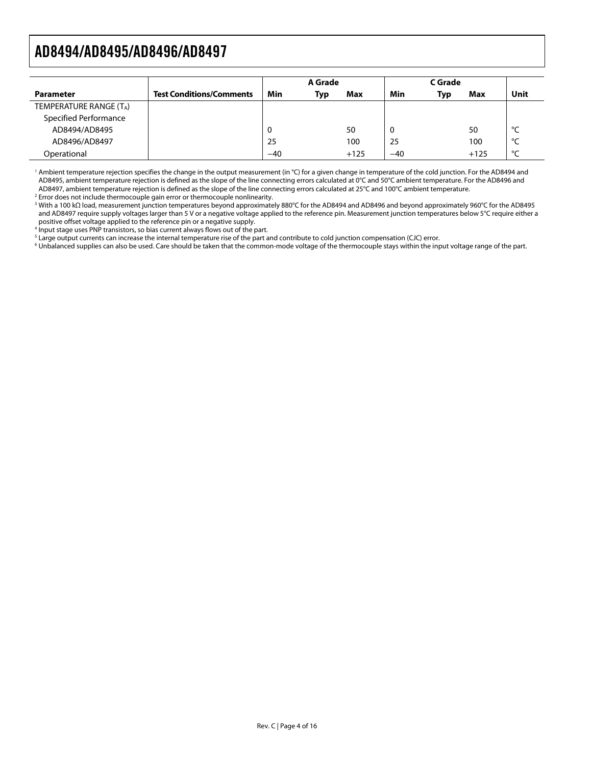<span id="page-3-0"></span>

|                        |                                 | A Grade |            | C Grade |       |     |        |               |
|------------------------|---------------------------------|---------|------------|---------|-------|-----|--------|---------------|
| <b>Parameter</b>       | <b>Test Conditions/Comments</b> | Min     | <b>Typ</b> | Max     | Min   | Typ | Max    | Unit          |
| TEMPERATURE RANGE (TA) |                                 |         |            |         |       |     |        |               |
| Specified Performance  |                                 |         |            |         |       |     |        |               |
| AD8494/AD8495          |                                 | U       |            | 50      |       |     | 50     | $\circ$       |
| AD8496/AD8497          |                                 | 25      |            | 100     | 25    |     | 100    | $\mathcal{C}$ |
| Operational            |                                 | $-40$   |            | $+125$  | $-40$ |     | $+125$ | $\sim$        |

<sup>1</sup> Ambient temperature rejection specifies the change in the output measurement (in °C) for a given change in temperature of the cold junction. For the AD8494 and AD8495, ambient temperature rejection is defined as the slope of the line connecting errors calculated at 0°C and 50°C ambient temperature. For the AD8496 and AD8497, ambient temperature rejection is defined as the slope of the line connecting errors calculated at 25°C and 100°C ambient temperature.

<sup>2</sup> Error does not include thermocouple gain error or thermocouple nonlinearity.

3 With a 100 kΩ load, measurement junction temperatures beyond approximately 880°C for the AD8494 and AD8496 and beyond approximately 960°C for the AD8495 and AD8497 require supply voltages larger than 5 V or a negative voltage applied to the reference pin. Measurement junction temperatures below 5°C require either a positive offset voltage applied to the reference pin or a negative supply.

<sup>4</sup> Input stage uses PNP transistors, so bias current always flows out of the part.

 $^5$  Large output currents can increase the internal temperature rise of the part and contribute to cold junction compensation (CJC) error.<br> $^6$  Unhalanced supplies can also be used. Care should be taken that the common-m

<sup>6</sup> Unbalanced supplies can also be used. Care should be taken that the common-mode voltage of the thermocouple stays within the input voltage range of the part.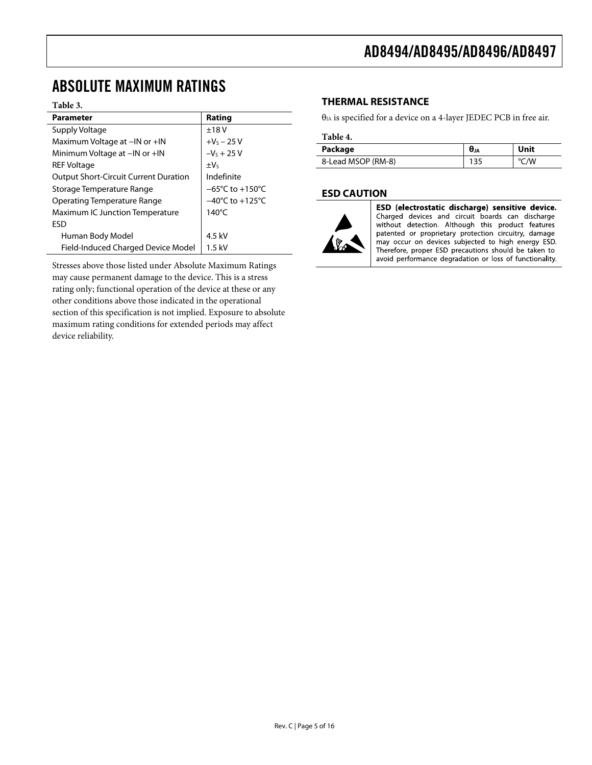### <span id="page-4-0"></span>ABSOLUTE MAXIMUM RATINGS

#### **Table 3.**

| <b>Parameter</b>                             | Rating                              |
|----------------------------------------------|-------------------------------------|
| Supply Voltage                               | ±18V                                |
| Maximum Voltage at -IN or +IN                | $+V_5 - 25V$                        |
| Minimum Voltage at -IN or +IN                | $-Vs + 25V$                         |
| <b>REF Voltage</b>                           | $\pm V_5$                           |
| <b>Output Short-Circuit Current Duration</b> | Indefinite                          |
| Storage Temperature Range                    | $-65^{\circ}$ C to $+150^{\circ}$ C |
| Operating Temperature Range                  | $-40^{\circ}$ C to $+125^{\circ}$ C |
| Maximum IC Junction Temperature              | $140^{\circ}$ C                     |
| <b>FSD</b>                                   |                                     |
| Human Body Model                             | 4.5 kV                              |
| Field-Induced Charged Device Model           | $1.5$ kV                            |

Stresses above those listed under Absolute Maximum Ratings may cause permanent damage to the device. This is a stress rating only; functional operation of the device at these or any other conditions above those indicated in the operational section of this specification is not implied. Exposure to absolute maximum rating conditions for extended periods may affect device reliability.

#### **THERMAL RESISTANCE**

 $\theta_{JA}$  is specified for a device on a 4-layer JEDEC PCB in free air.

#### **Table 4.**

| Package            | $\bm{\theta}_{JA}$ | Unit |
|--------------------|--------------------|------|
| 8-Lead MSOP (RM-8) | 135                | °C/W |

#### **ESD CAUTION**



ESD (electrostatic discharge) sensitive device. Charged devices and circuit boards can discharge without detection. Although this product features patented or proprietary protection circuitry, damage may occur on devices subjected to high energy ESD. Therefore, proper ESD precautions should be taken to avoid performance degradation or loss of functionality.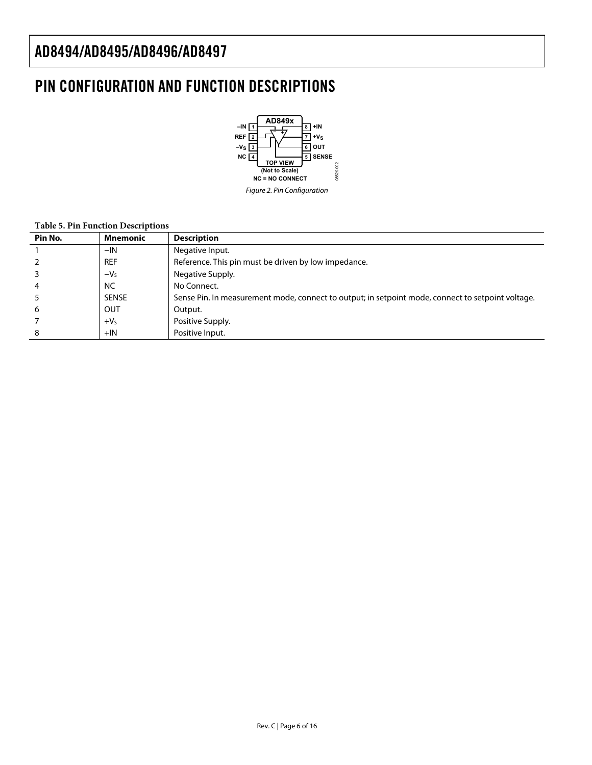### <span id="page-5-0"></span>PIN CONFIGURATION AND FUNCTION DESCRIPTIONS



#### **Table 5. Pin Function Descriptions**

| Pin No. | <b>Mnemonic</b> | <b>Description</b>                                                                                |
|---------|-----------------|---------------------------------------------------------------------------------------------------|
|         | $-IN$           | Negative Input.                                                                                   |
|         | <b>REF</b>      | Reference. This pin must be driven by low impedance.                                              |
|         | $-Vs$           | Negative Supply.                                                                                  |
|         | <b>NC</b>       | No Connect.                                                                                       |
|         | <b>SENSE</b>    | Sense Pin. In measurement mode, connect to output; in setpoint mode, connect to setpoint voltage. |
| 6       | OUT             | Output.                                                                                           |
|         | $+VS$           | Positive Supply.                                                                                  |
| 8       | $+IN$           | Positive Input.                                                                                   |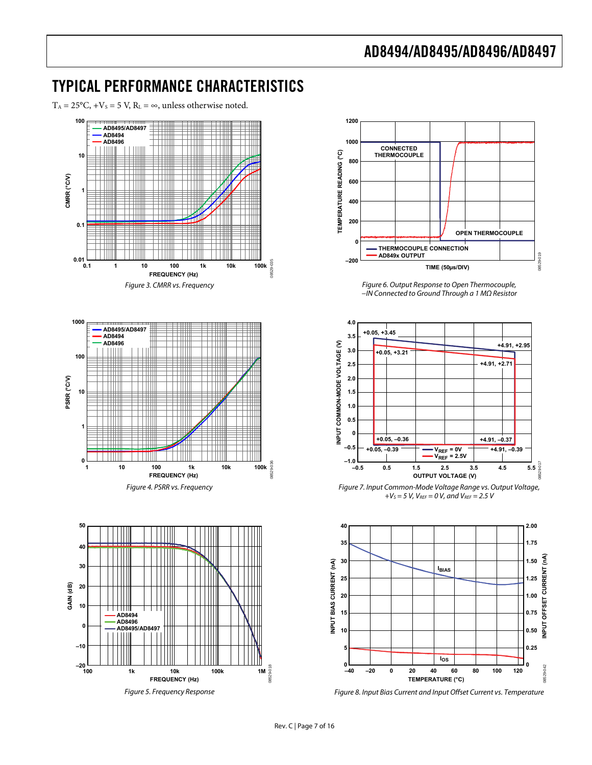### <span id="page-6-0"></span>TYPICAL PERFORMANCE CHARACTERISTICS

 $T_A = 25^{\circ}C$ ,  $+V_s = 5 V$ ,  $R_L = \infty$ , unless otherwise noted.

<span id="page-6-1"></span>

Figure 5. Frequency Response



Figure 6. Output Response to Open Thermocouple, −IN Connected to Ground Through a 1 MΩ Resistor



Figure 7. Input Common-Mode Voltage Range vs. Output Voltage,  $+V_S = 5 V$ ,  $V_{REF} = 0 V$ , and  $V_{REF} = 2.5 V$ 



Figure 8. Input Bias Current and Input Offset Current vs. Temperature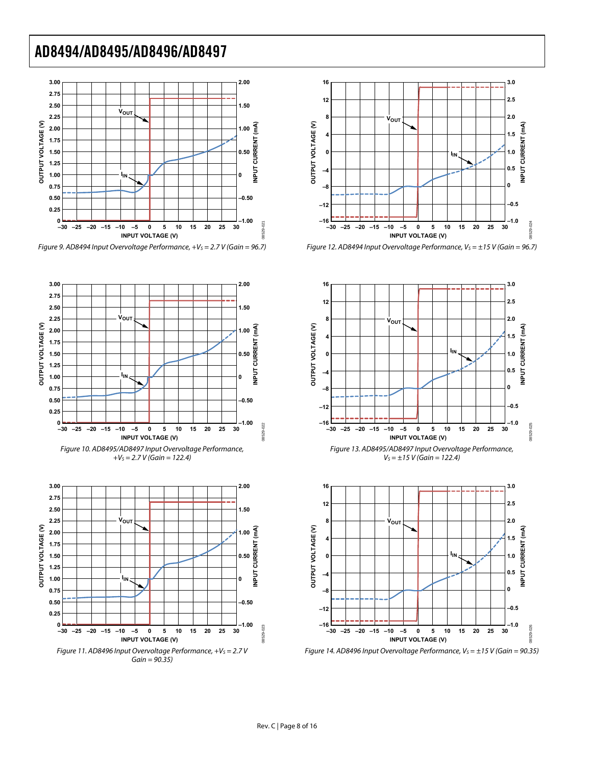

Figure 9. AD8494 Input Overvoltage Performance,  $+V_s = 2.7 V$  (Gain = 96.7)













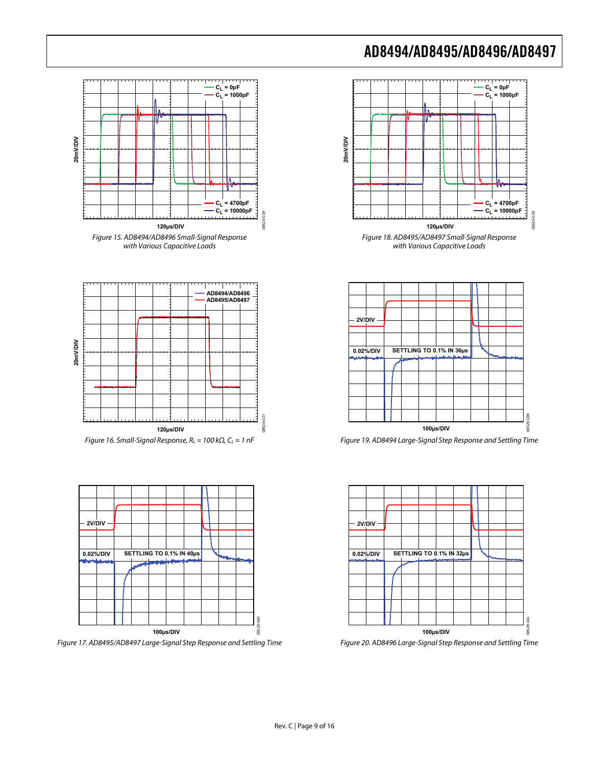

with Various Capacitive Loads

08529-029

8529-029



Figure 19. AD8494 Large-Signal Step Response and Settling Time



Figure 20. AD8496 Large-Signal Step Response and Settling Time









Figure 17. AD8495/AD8497 Large-Signal Step Response and Settling Time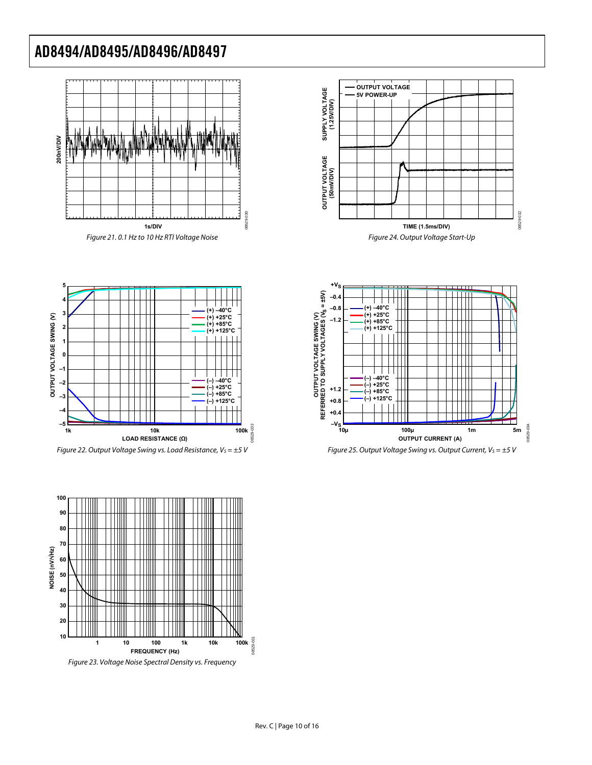









Figure 22. Output Voltage Swing vs. Load Resistance,  $V_S = \pm 5$  V



08529-033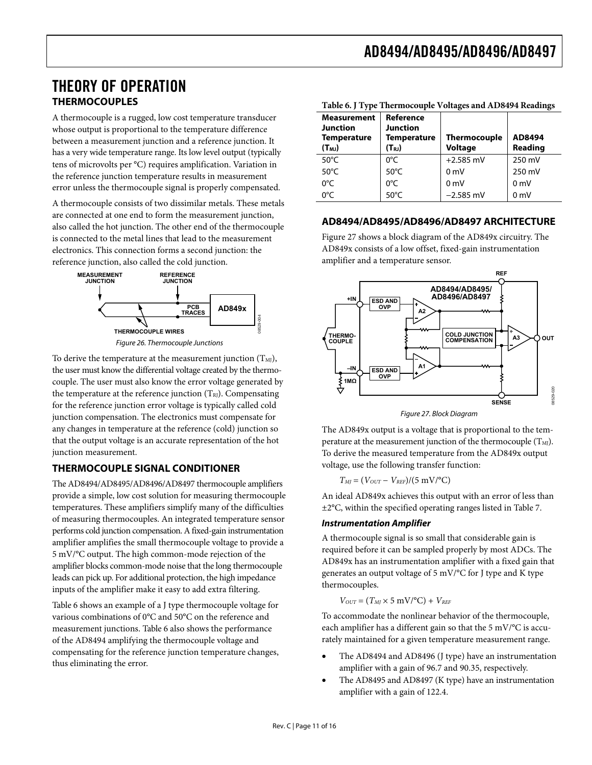### <span id="page-10-0"></span>THEORY OF OPERATION **THERMOCOUPLES**

<span id="page-10-1"></span>A thermocouple is a rugged, low cost temperature transducer whose output is proportional to the temperature difference between a measurement junction and a reference junction. It has a very wide temperature range. Its low level output (typically tens of microvolts per °C) requires amplification. Variation in the reference junction temperature results in measurement error unless the thermocouple signal is properly compensated.

A thermocouple consists of two dissimilar metals. These metals are connected at one end to form the measurement junction, also called the hot junction. The other end of the thermocouple is connected to the metal lines that lead to the measurement electronics. This connection forms a second junction: the reference junction, also called the cold junction.



To derive the temperature at the measurement junction  $(T<sub>MI</sub>)$ , the user must know the differential voltage created by the thermocouple. The user must also know the error voltage generated by the temperature at the reference junction  $(T_{RI})$ . Compensating for the reference junction error voltage is typically called cold junction compensation. The electronics must compensate for any changes in temperature at the reference (cold) junction so that the output voltage is an accurate representation of the hot junction measurement.

#### <span id="page-10-2"></span>**THERMOCOUPLE SIGNAL CONDITIONER**

The AD8494/AD8495/AD8496/AD8497 thermocouple amplifiers provide a simple, low cost solution for measuring thermocouple temperatures. These amplifiers simplify many of the difficulties of measuring thermocouples. An integrated temperature sensor performs cold junction compensation. A fixed-gain instrumentation amplifier amplifies the small thermocouple voltage to provide a 5 mV/°C output. The high common-mode rejection of the amplifier blocks common-mode noise that the long thermocouple leads can pick up. For additional protection, the high impedance inputs of the amplifier make it easy to add extra filtering.

[Table 6](#page-10-1) shows an example of a J type thermocouple voltage for various combinations of 0°C and 50°C on the reference and measurement junctions. [Table 6](#page-10-1) also shows the performance of the AD8494 amplifying the thermocouple voltage and compensating for the reference junction temperature changes, thus eliminating the error.

|                                                                           |                                                               | Table 0. Type Thermocouple voltages and AD0474 Readings |                   |  |
|---------------------------------------------------------------------------|---------------------------------------------------------------|---------------------------------------------------------|-------------------|--|
| <b>Measurement</b><br><b>Junction</b><br><b>Temperature</b><br>$(T_{MJ})$ | Reference<br><b>Junction</b><br>Temperature<br>$(T_{\rm RJ})$ | <b>Thermocouple</b><br><b>Voltage</b>                   | AD8494<br>Reading |  |
| $50^{\circ}$ C                                                            | $0^{\circ}$ C                                                 | $+2.585$ mV                                             | 250 mV            |  |
| $50^{\circ}$ C                                                            | $50^{\circ}$ C                                                | 0 <sub>m</sub>                                          | 250 mV            |  |
| 0°C                                                                       | $0^{\circ}$ C                                                 | 0 <sub>m</sub>                                          | 0 <sub>m</sub>    |  |
| 0°C                                                                       | $50^{\circ}$ C                                                | $-2.585$ mV                                             | 0 <sub>m</sub>    |  |

**Table 6. J Type Thermocouple Voltages and AD8494 Readings** 

#### **AD8494/AD8495/AD8496/AD8497 ARCHITECTURE**

[Figure 27](#page-10-2) shows a block diagram of the AD849x circuitry. The AD849x consists of a low offset, fixed-gain instrumentation amplifier and a temperature sensor.



Figure 27. Block Diagram

The AD849x output is a voltage that is proportional to the temperature at the measurement junction of the thermocouple  $(T_M)$ . To derive the measured temperature from the AD849x output voltage, use the following transfer function:

 $T_{MI} = (V_{OUT} - V_{REF})/(5 \text{ mV})^{\circ}C$ 

An ideal AD849x achieves this output with an error of less than ±2°C, within the specified operating ranges listed in [Table 7](#page-11-1).

#### **Instrumentation Amplifier**

A thermocouple signal is so small that considerable gain is required before it can be sampled properly by most ADCs. The AD849x has an instrumentation amplifier with a fixed gain that generates an output voltage of 5 mV/°C for J type and K type thermocouples.

$$
V_{OUT} = (T_{MI} \times 5 \text{ mV/}^{\circ}\text{C}) + V_{REF}
$$

To accommodate the nonlinear behavior of the thermocouple, each amplifier has a different gain so that the 5 mV/°C is accurately maintained for a given temperature measurement range.

- The AD8494 and AD8496 (J type) have an instrumentation amplifier with a gain of 96.7 and 90.35, respectively.
- The AD8495 and AD8497 (K type) have an instrumentation amplifier with a gain of 122.4.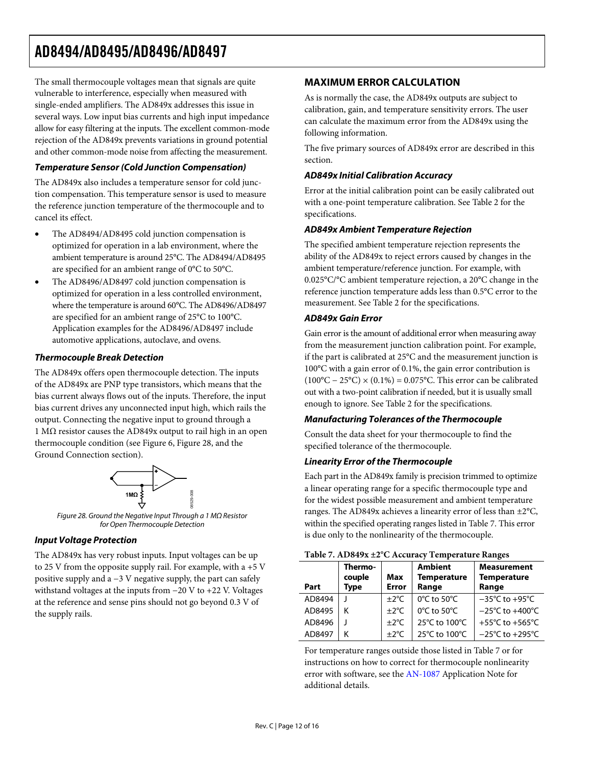<span id="page-11-0"></span>The small thermocouple voltages mean that signals are quite vulnerable to interference, especially when measured with single-ended amplifiers. The AD849x addresses this issue in several ways. Low input bias currents and high input impedance allow for easy filtering at the inputs. The excellent common-mode rejection of the AD849x prevents variations in ground potential and other common-mode noise from affecting the measurement.

#### **Temperature Sensor (Cold Junction Compensation)**

The AD849x also includes a temperature sensor for cold junction compensation. This temperature sensor is used to measure the reference junction temperature of the thermocouple and to cancel its effect.

- The AD8494/AD8495 cold junction compensation is optimized for operation in a lab environment, where the ambient temperature is around 25°C. The AD8494/AD8495 are specified for an ambient range of 0°C to 50°C.
- The AD8496/AD8497 cold junction compensation is optimized for operation in a less controlled environment, where the temperature is around 60°C. The AD8496/AD8497 are specified for an ambient range of 25°C to 100°C. Application examples for the AD8496/AD8497 include automotive applications, autoclave, and ovens.

#### **Thermocouple Break Detection**

The AD849x offers open thermocouple detection. The inputs of the AD849x are PNP type transistors, which means that the bias current always flows out of the inputs. Therefore, the input bias current drives any unconnected input high, which rails the output. Connecting the negative input to ground through a 1 MΩ resistor causes the AD849x output to rail high in an open thermocouple condition (see [Figure 6,](#page-6-1) [Figure 28](#page-11-2), and the [Ground Connection](#page-12-1) section).



Figure 28. Ground the Negative Input Through a 1 MΩ Resistor for Open Thermocouple Detection

#### <span id="page-11-2"></span>**Input Voltage Protection**

<span id="page-11-1"></span>The AD849x has very robust inputs. Input voltages can be up to 25 V from the opposite supply rail. For example, with a +5 V positive supply and a −3 V negative supply, the part can safely withstand voltages at the inputs from −20 V to +22 V. Voltages at the reference and sense pins should not go beyond 0.3 V of the supply rails.

#### **MAXIMUM ERROR CALCULATION**

As is normally the case, the AD849x outputs are subject to calibration, gain, and temperature sensitivity errors. The user can calculate the maximum error from the AD849x using the following information.

The five primary sources of AD849x error are described in this section.

#### **AD849x Initial Calibration Accuracy**

Error at the initial calibration point can be easily calibrated out with a one-point temperature calibration. See [Table 2](#page-2-1) for the specifications.

#### **AD849x Ambient Temperature Rejection**

The specified ambient temperature rejection represents the ability of the AD849x to reject errors caused by changes in the ambient temperature/reference junction. For example, with 0.025°C/°C ambient temperature rejection, a 20°C change in the reference junction temperature adds less than 0.5°C error to the measurement. See [Table 2](#page-2-1) for the specifications.

#### **AD849x Gain Error**

Gain error is the amount of additional error when measuring away from the measurement junction calibration point. For example, if the part is calibrated at 25°C and the measurement junction is 100°C with a gain error of 0.1%, the gain error contribution is  $(100^{\circ}C - 25^{\circ}C) \times (0.1\%) = 0.075^{\circ}C$ . This error can be calibrated out with a two-point calibration if needed, but it is usually small enough to ignore. See [Table 2](#page-2-1) for the specifications.

#### **Manufacturing Tolerances of the Thermocouple**

Consult the data sheet for your thermocouple to find the specified tolerance of the thermocouple.

#### **Linearity Error of the Thermocouple**

Each part in the AD849x family is precision trimmed to optimize a linear operating range for a specific thermocouple type and for the widest possible measurement and ambient temperature ranges. The AD849x achieves a linearity error of less than ±2°C, within the specified operating ranges listed in [Table 7](#page-11-1). This error is due only to the nonlinearity of the thermocouple.

| Table 7. AD047A ±2 © Accuracy Temperature Ranges |                                  |                     |                                               |                                                   |  |  |
|--------------------------------------------------|----------------------------------|---------------------|-----------------------------------------------|---------------------------------------------------|--|--|
| Part                                             | Thermo-<br>couple<br><b>Type</b> | Max<br><b>Error</b> | <b>Ambient</b><br><b>Temperature</b><br>Range | <b>Measurement</b><br><b>Temperature</b><br>Range |  |  |
| AD8494                                           |                                  | $\pm 2^{\circ}$ C   | $0^{\circ}$ C to 50 $^{\circ}$ C              | $-35^{\circ}$ C to +95 $^{\circ}$ C               |  |  |
| AD8495                                           | κ                                | $\pm 2^{\circ}$ C   | 0°C to 50°C                                   | $-25^{\circ}$ C to $+400^{\circ}$ C               |  |  |
| AD8496                                           |                                  | $\pm 2^{\circ}$ C   | 25°C to 100°C                                 | +55 $\degree$ C to +565 $\degree$ C               |  |  |
| AD8497                                           | Κ                                | $\pm 2^{\circ}$ C   | 25°C to 100°C                                 | $-25^{\circ}$ C to $+295^{\circ}$ C               |  |  |

#### **Table 7. AD849x ±2°C Accuracy Temperature Ranges**

For temperature ranges outside those listed in [Table 7](#page-11-1) or for instructions on how to correct for thermocouple nonlinearity error with software, see the [AN-1087](http://www.analog.com/AN-1087) Application Note for additional details.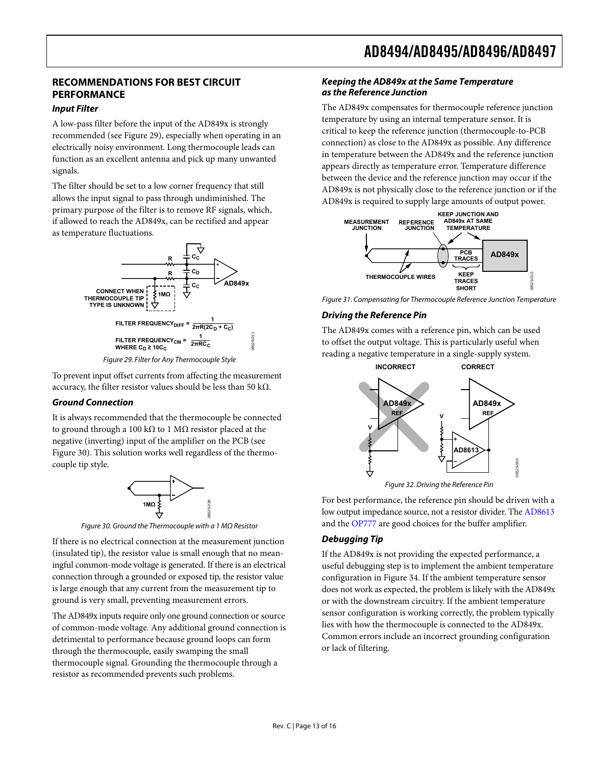### <span id="page-12-0"></span>**RECOMMENDATIONS FOR BEST CIRCUIT PERFORMANCE**

#### **Input Filter**

A low-pass filter before the input of the AD849x is strongly recommended (see [Figure 29\)](#page-12-2), especially when operating in an electrically noisy environment. Long thermocouple leads can function as an excellent antenna and pick up many unwanted signals.

The filter should be set to a low corner frequency that still allows the input signal to pass through undiminished. The primary purpose of the filter is to remove RF signals, which, if allowed to reach the AD849x, can be rectified and appear as temperature fluctuations.



Figure 29. Filter for Any Thermocouple Style

<span id="page-12-2"></span>To prevent input offset currents from affecting the measurement accuracy, the filter resistor values should be less than 50 kΩ.

#### <span id="page-12-1"></span>**Ground Connection**

It is always recommended that the thermocouple be connected to ground through a 100 kΩ to 1 MΩ resistor placed at the negative (inverting) input of the amplifier on the PCB (see [Figure 30](#page-12-3)). This solution works well regardless of the thermocouple tip style.



<span id="page-12-3"></span>If there is no electrical connection at the measurement junction **Debugging Tip** (insulated tip), the resistor value is small enough that no meaningful common-mode voltage is generated. If there is an electrical connection through a grounded or exposed tip, the resistor value is large enough that any current from the measurement tip to ground is very small, preventing measurement errors.

The AD849x inputs require only one ground connection or source of common-mode voltage. Any additional ground connection is detrimental to performance because ground loops can form through the thermocouple, easily swamping the small thermocouple signal. Grounding the thermocouple through a resistor as recommended prevents such problems.

#### **Keeping the AD849x at the Same Temperature as the Reference Junction**

The AD849x compensates for thermocouple reference junction temperature by using an internal temperature sensor. It is critical to keep the reference junction (thermocouple-to-PCB connection) as close to the AD849x as possible. Any difference in temperature between the AD849x and the reference junction appears directly as temperature error. Temperature difference between the device and the reference junction may occur if the AD849x is not physically close to the reference junction or if the AD849x is required to supply large amounts of output power.



Figure 31. Compensating for Thermocouple Reference Junction Temperature

#### **Driving the Reference Pin**

The AD849x comes with a reference pin, which can be used to offset the output voltage. This is particularly useful when reading a negative temperature in a single-supply system.



Figure 32. Driving the Reference Pin

For best performance, the reference pin should be driven with a low output impedance source, not a resistor divider. The [AD8613](http://www.analog.com/AD8613) Figure 30. Ground the Thermocouple with a 1 MΩ Resistor and the [OP777](http://www.analog.com/OP777) are good choices for the buffer amplifier.

If the AD849x is not providing the expected performance, a useful debugging step is to implement the ambient temperature configuration in [Figure 34](#page-13-1). If the ambient temperature sensor does not work as expected, the problem is likely with the AD849x or with the downstream circuitry. If the ambient temperature sensor configuration is working correctly, the problem typically lies with how the thermocouple is connected to the AD849x. Common errors include an incorrect grounding configuration or lack of filtering.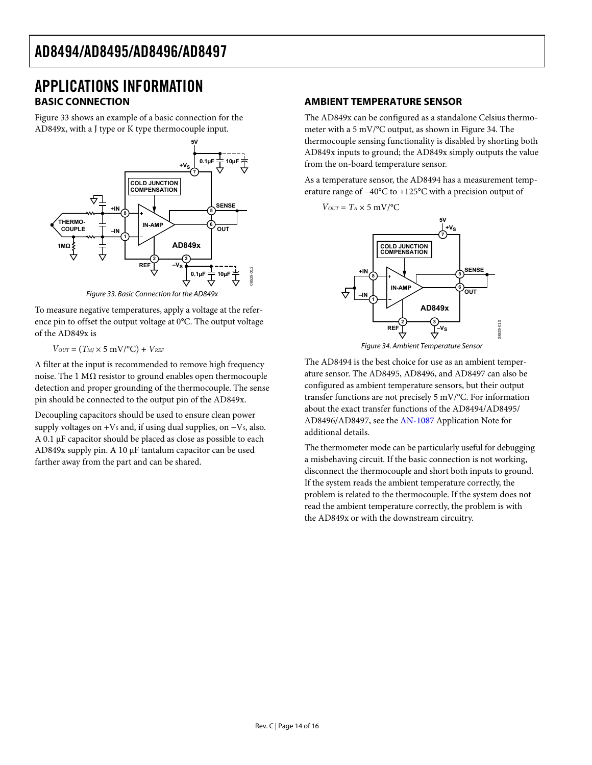### <span id="page-13-0"></span>APPLICATIONS INFORMATION **BASIC CONNECTION**

[Figure 33](#page-13-2) shows an example of a basic connection for the AD849x, with a J type or K type thermocouple input.



Figure 33. Basic Connection for the AD849x

<span id="page-13-2"></span>To measure negative temperatures, apply a voltage at the reference pin to offset the output voltage at 0°C. The output voltage of the AD849x is

 $V_{OUT} = (T_M \times 5 \text{ mV} / \text{°C}) + V_{REF}$ 

<span id="page-13-1"></span>A filter at the input is recommended to remove high frequency noise. The 1  $MΩ$  resistor to ground enables open thermocouple detection and proper grounding of the thermocouple. The sense pin should be connected to the output pin of the AD849x.

Decoupling capacitors should be used to ensure clean power supply voltages on + $V_s$  and, if using dual supplies, on  $-V_s$ , also. A 0.1 μF capacitor should be placed as close as possible to each AD849x supply pin. A 10 μF tantalum capacitor can be used farther away from the part and can be shared.

#### **AMBIENT TEMPERATURE SENSOR**

The AD849x can be configured as a standalone Celsius thermometer with a 5 mV/°C output, as shown in [Figure 34.](#page-13-1) The thermocouple sensing functionality is disabled by shorting both AD849x inputs to ground; the AD849x simply outputs the value from the on-board temperature sensor.

As a temperature sensor, the AD8494 has a measurement temperature range of −40°C to +125°C with a precision output of



Figure 34. Ambient Temperature Sensor

The AD8494 is the best choice for use as an ambient temperature sensor. The AD8495, AD8496, and AD8497 can also be configured as ambient temperature sensors, but their output transfer functions are not precisely 5 mV/°C. For information about the exact transfer functions of the AD8494/AD8495/ AD8496/AD8497, see the [AN-1087](http://www.analog.com/AN-1087) Application Note for additional details.

The thermometer mode can be particularly useful for debugging a misbehaving circuit. If the basic connection is not working, disconnect the thermocouple and short both inputs to ground. If the system reads the ambient temperature correctly, the problem is related to the thermocouple. If the system does not read the ambient temperature correctly, the problem is with the AD849x or with the downstream circuitry.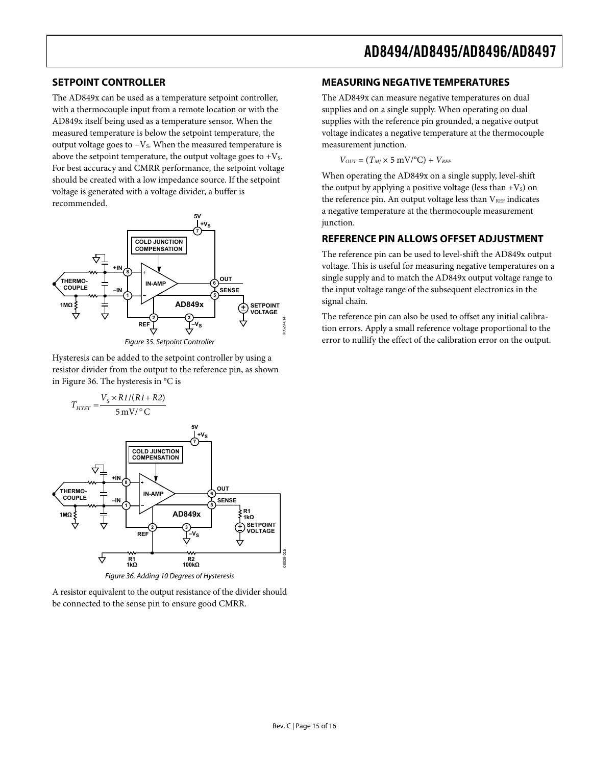#### <span id="page-14-0"></span>**SETPOINT CONTROLLER**

The AD849x can be used as a temperature setpoint controller, with a thermocouple input from a remote location or with the AD849x itself being used as a temperature sensor. When the measured temperature is below the setpoint temperature, the output voltage goes to  $-V_s$ . When the measured temperature is above the setpoint temperature, the output voltage goes to  $+V_s$ . For best accuracy and CMRR performance, the setpoint voltage should be created with a low impedance source. If the setpoint voltage is generated with a voltage divider, a buffer is recommended.



Hysteresis can be added to the setpoint controller by using a resistor divider from the output to the reference pin, as shown in [Figure 36](#page-14-1). The hysteresis in °C is



Figure 36. Adding 10 Degrees of Hysteresis

<span id="page-14-1"></span>A resistor equivalent to the output resistance of the divider should be connected to the sense pin to ensure good CMRR.

#### **MEASURING NEGATIVE TEMPERATURES**

The AD849x can measure negative temperatures on dual supplies and on a single supply. When operating on dual supplies with the reference pin grounded, a negative output voltage indicates a negative temperature at the thermocouple measurement junction.

 $V_{OUT} = (T_M \times 5 \text{ mV} / \text{°C}) + V_{REF}$ 

When operating the AD849x on a single supply, level-shift the output by applying a positive voltage (less than  $+V_s$ ) on the reference pin. An output voltage less than  $V_{REF}$  indicates a negative temperature at the thermocouple measurement junction.

#### **REFERENCE PIN ALLOWS OFFSET ADJUSTMENT**

The reference pin can be used to level-shift the AD849x output voltage. This is useful for measuring negative temperatures on a single supply and to match the AD849x output voltage range to the input voltage range of the subsequent electronics in the signal chain.

The reference pin can also be used to offset any initial calibration errors. Apply a small reference voltage proportional to the error to nullify the effect of the calibration error on the output.